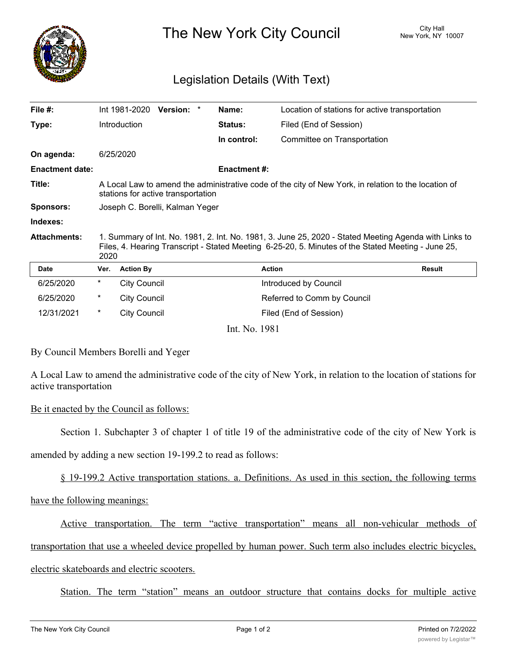

The New York City Council New York, NY 10007

## Legislation Details (With Text)

| File $#$ :             |                                                                                                                                                                                                                     | Int 1981-2020       | Version: * |  | Name:               | Location of stations for active transportation |               |
|------------------------|---------------------------------------------------------------------------------------------------------------------------------------------------------------------------------------------------------------------|---------------------|------------|--|---------------------|------------------------------------------------|---------------|
| Type:                  |                                                                                                                                                                                                                     | Introduction        |            |  | Status:             | Filed (End of Session)                         |               |
|                        |                                                                                                                                                                                                                     |                     |            |  | In control:         | Committee on Transportation                    |               |
| On agenda:             |                                                                                                                                                                                                                     | 6/25/2020           |            |  |                     |                                                |               |
| <b>Enactment date:</b> |                                                                                                                                                                                                                     |                     |            |  | <b>Enactment #:</b> |                                                |               |
| Title:                 | A Local Law to amend the administrative code of the city of New York, in relation to the location of<br>stations for active transportation                                                                          |                     |            |  |                     |                                                |               |
| <b>Sponsors:</b>       | Joseph C. Borelli, Kalman Yeger                                                                                                                                                                                     |                     |            |  |                     |                                                |               |
| Indexes:               |                                                                                                                                                                                                                     |                     |            |  |                     |                                                |               |
| <b>Attachments:</b>    | 1. Summary of Int. No. 1981, 2. Int. No. 1981, 3. June 25, 2020 - Stated Meeting Agenda with Links to<br>Files, 4. Hearing Transcript - Stated Meeting 6-25-20, 5. Minutes of the Stated Meeting - June 25,<br>2020 |                     |            |  |                     |                                                |               |
| <b>Date</b>            | Ver.                                                                                                                                                                                                                | <b>Action By</b>    |            |  |                     | <b>Action</b>                                  | <b>Result</b> |
| 6/25/2020              | $^\star$                                                                                                                                                                                                            | <b>City Council</b> |            |  |                     | Introduced by Council                          |               |
| 6/25/2020              | $^\star$                                                                                                                                                                                                            | <b>City Council</b> |            |  |                     | Referred to Comm by Council                    |               |
| 12/31/2021             | $^\star$                                                                                                                                                                                                            | <b>City Council</b> |            |  |                     | Filed (End of Session)                         |               |
| Int. No. 1981          |                                                                                                                                                                                                                     |                     |            |  |                     |                                                |               |

## By Council Members Borelli and Yeger

A Local Law to amend the administrative code of the city of New York, in relation to the location of stations for active transportation

## Be it enacted by the Council as follows:

Section 1. Subchapter 3 of chapter 1 of title 19 of the administrative code of the city of New York is

amended by adding a new section 19-199.2 to read as follows:

§ 19-199.2 Active transportation stations. a. Definitions. As used in this section, the following terms

have the following meanings:

Active transportation. The term "active transportation" means all non-vehicular methods of

transportation that use a wheeled device propelled by human power. Such term also includes electric bicycles,

electric skateboards and electric scooters.

Station. The term "station" means an outdoor structure that contains docks for multiple active